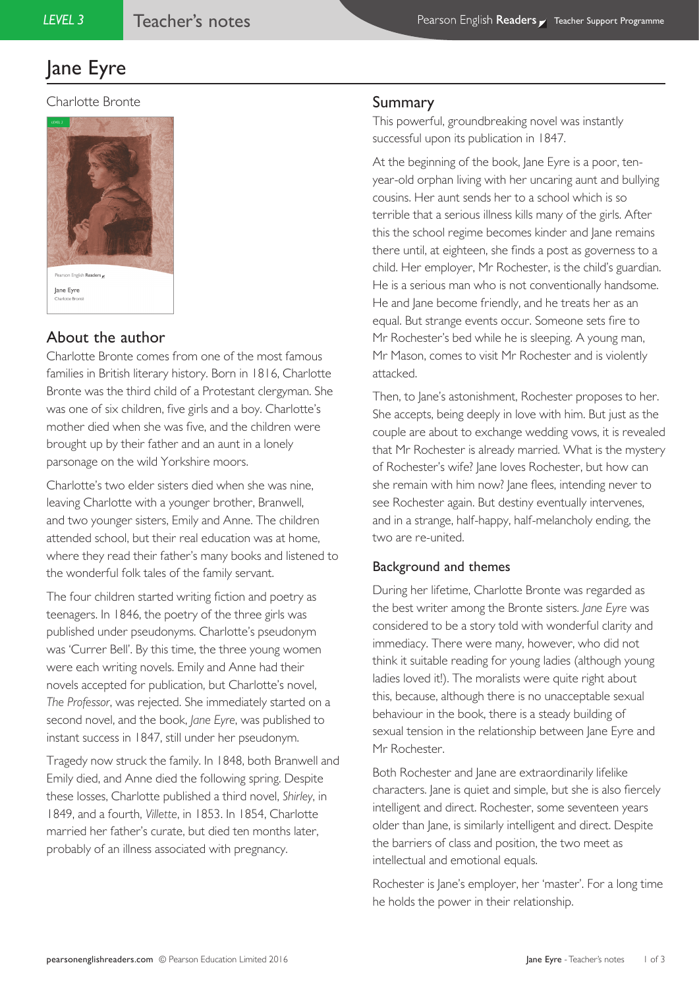# Jane Eyre

#### Charlotte Bronte



# About the author

Charlotte Bronte comes from one of the most famous families in British literary history. Born in 1816, Charlotte Bronte was the third child of a Protestant clergyman. She was one of six children, five girls and a boy. Charlotte's mother died when she was five, and the children were brought up by their father and an aunt in a lonely parsonage on the wild Yorkshire moors.

Charlotte's two elder sisters died when she was nine, leaving Charlotte with a younger brother, Branwell, and two younger sisters, Emily and Anne. The children attended school, but their real education was at home, where they read their father's many books and listened to the wonderful folk tales of the family servant.

The four children started writing fiction and poetry as teenagers. In 1846, the poetry of the three girls was published under pseudonyms. Charlotte's pseudonym was 'Currer Bell'. By this time, the three young women were each writing novels. Emily and Anne had their novels accepted for publication, but Charlotte's novel, *The Professor*, was rejected. She immediately started on a second novel, and the book, *Jane Eyre*, was published to instant success in 1847, still under her pseudonym.

Tragedy now struck the family. In 1848, both Branwell and Emily died, and Anne died the following spring. Despite these losses, Charlotte published a third novel, *Shirley*, in 1849, and a fourth, *Villette*, in 1853. In 1854, Charlotte married her father's curate, but died ten months later, probably of an illness associated with pregnancy.

## Summary

This powerful, groundbreaking novel was instantly successful upon its publication in 1847.

At the beginning of the book, Jane Eyre is a poor, tenyear-old orphan living with her uncaring aunt and bullying cousins. Her aunt sends her to a school which is so terrible that a serious illness kills many of the girls. After this the school regime becomes kinder and Jane remains there until, at eighteen, she finds a post as governess to a child. Her employer, Mr Rochester, is the child's guardian. He is a serious man who is not conventionally handsome. He and Jane become friendly, and he treats her as an equal. But strange events occur. Someone sets fire to Mr Rochester's bed while he is sleeping. A young man, Mr Mason, comes to visit Mr Rochester and is violently attacked.

Then, to Jane's astonishment, Rochester proposes to her. She accepts, being deeply in love with him. But just as the couple are about to exchange wedding vows, it is revealed that Mr Rochester is already married. What is the mystery of Rochester's wife? Jane loves Rochester, but how can she remain with him now? Jane flees, intending never to see Rochester again. But destiny eventually intervenes, and in a strange, half-happy, half-melancholy ending, the two are re-united.

## Background and themes

During her lifetime, Charlotte Bronte was regarded as the best writer among the Bronte sisters. *Jane Eyre* was considered to be a story told with wonderful clarity and immediacy. There were many, however, who did not think it suitable reading for young ladies (although young ladies loved it!). The moralists were quite right about this, because, although there is no unacceptable sexual behaviour in the book, there is a steady building of sexual tension in the relationship between Jane Eyre and Mr Rochester.

Both Rochester and Jane are extraordinarily lifelike characters. Jane is quiet and simple, but she is also fiercely intelligent and direct. Rochester, some seventeen years older than Jane, is similarly intelligent and direct. Despite the barriers of class and position, the two meet as intellectual and emotional equals.

Rochester is Jane's employer, her 'master'. For a long time he holds the power in their relationship.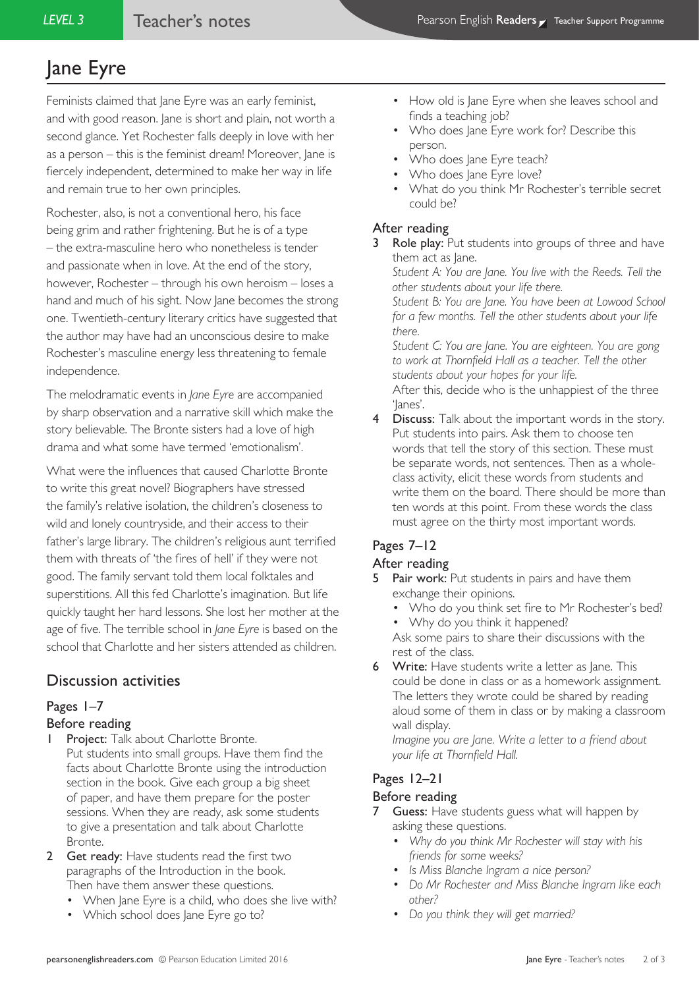# Jane Eyre

Feminists claimed that Jane Eyre was an early feminist, and with good reason. Jane is short and plain, not worth a second glance. Yet Rochester falls deeply in love with her as a person – this is the feminist dream! Moreover, Jane is fiercely independent, determined to make her way in life and remain true to her own principles.

Rochester, also, is not a conventional hero, his face being grim and rather frightening. But he is of a type – the extra-masculine hero who nonetheless is tender and passionate when in love. At the end of the story, however, Rochester – through his own heroism – loses a hand and much of his sight. Now Jane becomes the strong one. Twentieth-century literary critics have suggested that the author may have had an unconscious desire to make Rochester's masculine energy less threatening to female independence.

The melodramatic events in *Jane Eyre* are accompanied by sharp observation and a narrative skill which make the story believable. The Bronte sisters had a love of high drama and what some have termed 'emotionalism'.

What were the influences that caused Charlotte Bronte to write this great novel? Biographers have stressed the family's relative isolation, the children's closeness to wild and lonely countryside, and their access to their father's large library. The children's religious aunt terrified them with threats of 'the fires of hell' if they were not good. The family servant told them local folktales and superstitions. All this fed Charlotte's imagination. But life quickly taught her hard lessons. She lost her mother at the age of five. The terrible school in *Jane Eyre* is based on the school that Charlotte and her sisters attended as children.

# Discussion activities

## Pages 1–7

### Before reading

- **1 Project:** Talk about Charlotte Bronte. Put students into small groups. Have them find the facts about Charlotte Bronte using the introduction section in the book. Give each group a big sheet of paper, and have them prepare for the poster sessions. When they are ready, ask some students to give a presentation and talk about Charlotte Bronte.
- 2 Get ready: Have students read the first two paragraphs of the Introduction in the book. Then have them answer these questions.
	- When Jane Eyre is a child, who does she live with?
	- Which school does Jane Eyre go to?
- How old is Jane Eyre when she leaves school and finds a teaching job?
- Who does Jane Eyre work for? Describe this person.
- Who does lane Eyre teach?
- Who does lane Eyre love?
- What do you think Mr Rochester's terrible secret could be?

### After reading

Role play: Put students into groups of three and have them act as Jane. *Student A: You are Jane. You live with the Reeds. Tell the* 

*other students about your life there. Student B: You are Jane. You have been at Lowood School for a few months. Tell the other students about your life there.*

*Student C: You are Jane. You are eighteen. You are gong to work at Thornfield Hall as a teacher. Tell the other students about your hopes for your life.*

After this, decide who is the unhappiest of the three 'Janes'.

4 Discuss: Talk about the important words in the story. Put students into pairs. Ask them to choose ten words that tell the story of this section. These must be separate words, not sentences. Then as a wholeclass activity, elicit these words from students and write them on the board. There should be more than ten words at this point. From these words the class must agree on the thirty most important words.

# Pages 7–12

## After reading

- **Pair work:** Put students in pairs and have them exchange their opinions.
	- Who do you think set fire to Mr Rochester's bed?
	- Why do you think it happened?

Ask some pairs to share their discussions with the rest of the class.

**6** Write: Have students write a letter as Jane. This could be done in class or as a homework assignment. The letters they wrote could be shared by reading aloud some of them in class or by making a classroom wall display.

*Imagine you are Jane. Write a letter to a friend about your life at Thornfield Hall.*

#### Pages 12–21 Before reading

- **7** Guess: Have students guess what will happen by asking these questions.
	- *• Why do you think Mr Rochester will stay with his friends for some weeks?*
	- *• Is Miss Blanche Ingram a nice person?*
	- *• Do Mr Rochester and Miss Blanche Ingram like each other?*
	- *• Do you think they will get married?*